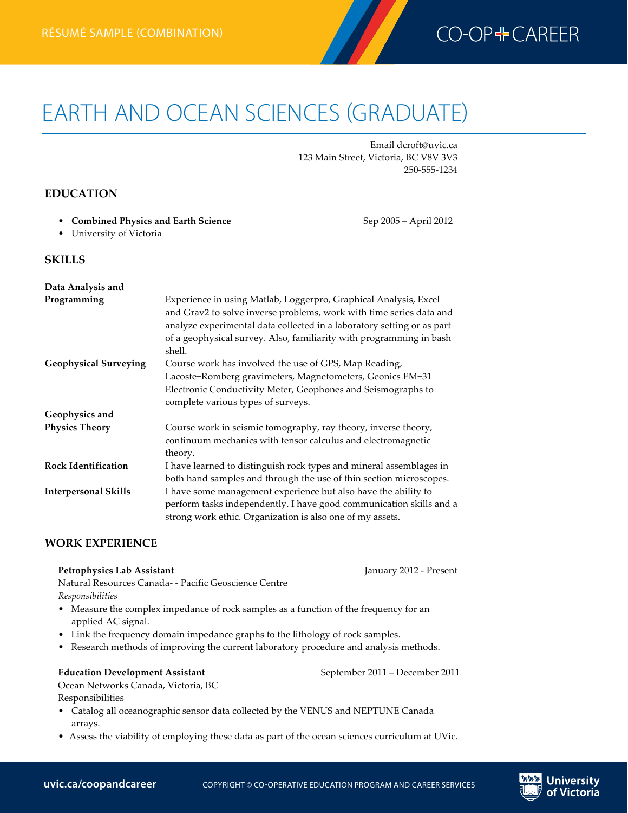

# EARTH AND OCEAN SCIENCES (GRADUATE) **Earth and Ocean Sciences résumé (graduate)—combination Devin Croft**

Email dcroft@uvic.ca 123 Main Street, Victoria, BC V8V 3V3 250-555-1234

## **EDUCATION**

• **Combined Physics and Earth Science** Sep 2005 – April 2012

• University of Victoria

### **SKILLS**

| Data Analysis and            |                                                                                                                                                                                                                                                                                                    |
|------------------------------|----------------------------------------------------------------------------------------------------------------------------------------------------------------------------------------------------------------------------------------------------------------------------------------------------|
| Programming                  | Experience in using Matlab, Loggerpro, Graphical Analysis, Excel<br>and Grav2 to solve inverse problems, work with time series data and<br>analyze experimental data collected in a laboratory setting or as part<br>of a geophysical survey. Also, familiarity with programming in bash<br>shell. |
| <b>Geophysical Surveying</b> | Course work has involved the use of GPS, Map Reading,                                                                                                                                                                                                                                              |
|                              | Lacoste-Romberg gravimeters, Magnetometers, Geonics EM-31                                                                                                                                                                                                                                          |
|                              | Electronic Conductivity Meter, Geophones and Seismographs to                                                                                                                                                                                                                                       |
|                              | complete various types of surveys.                                                                                                                                                                                                                                                                 |
| Geophysics and               |                                                                                                                                                                                                                                                                                                    |
| <b>Physics Theory</b>        | Course work in seismic tomography, ray theory, inverse theory,<br>continuum mechanics with tensor calculus and electromagnetic<br>theory.                                                                                                                                                          |
| <b>Rock Identification</b>   | I have learned to distinguish rock types and mineral assemblages in                                                                                                                                                                                                                                |
|                              | both hand samples and through the use of thin section microscopes.                                                                                                                                                                                                                                 |
| <b>Interpersonal Skills</b>  | I have some management experience but also have the ability to                                                                                                                                                                                                                                     |
|                              | perform tasks independently. I have good communication skills and a                                                                                                                                                                                                                                |
|                              | strong work ethic. Organization is also one of my assets.                                                                                                                                                                                                                                          |

## **WORK EXPERIENCE**

**Petrophysics Lab Assistant** January 2012 - Present

Natural Resources Canada- - Pacific Geoscience Centre *Responsibilities*

- Measure the complex impedance of rock samples as a function of the frequency for an applied AC signal.
- Link the frequency domain impedance graphs to the lithology of rock samples.
- Research methods of improving the current laboratory procedure and analysis methods.

#### **Education Development Assistant** September 2011 – December 2011

Jniversitv of Victoria

Ocean Networks Canada, Victoria, BC

- Responsibilities
- Catalog all oceanographic sensor data collected by the VENUS and NEPTUNE Canada arrays.
- Assess the viability of employing these data as part of the ocean sciences curriculum at UVic.